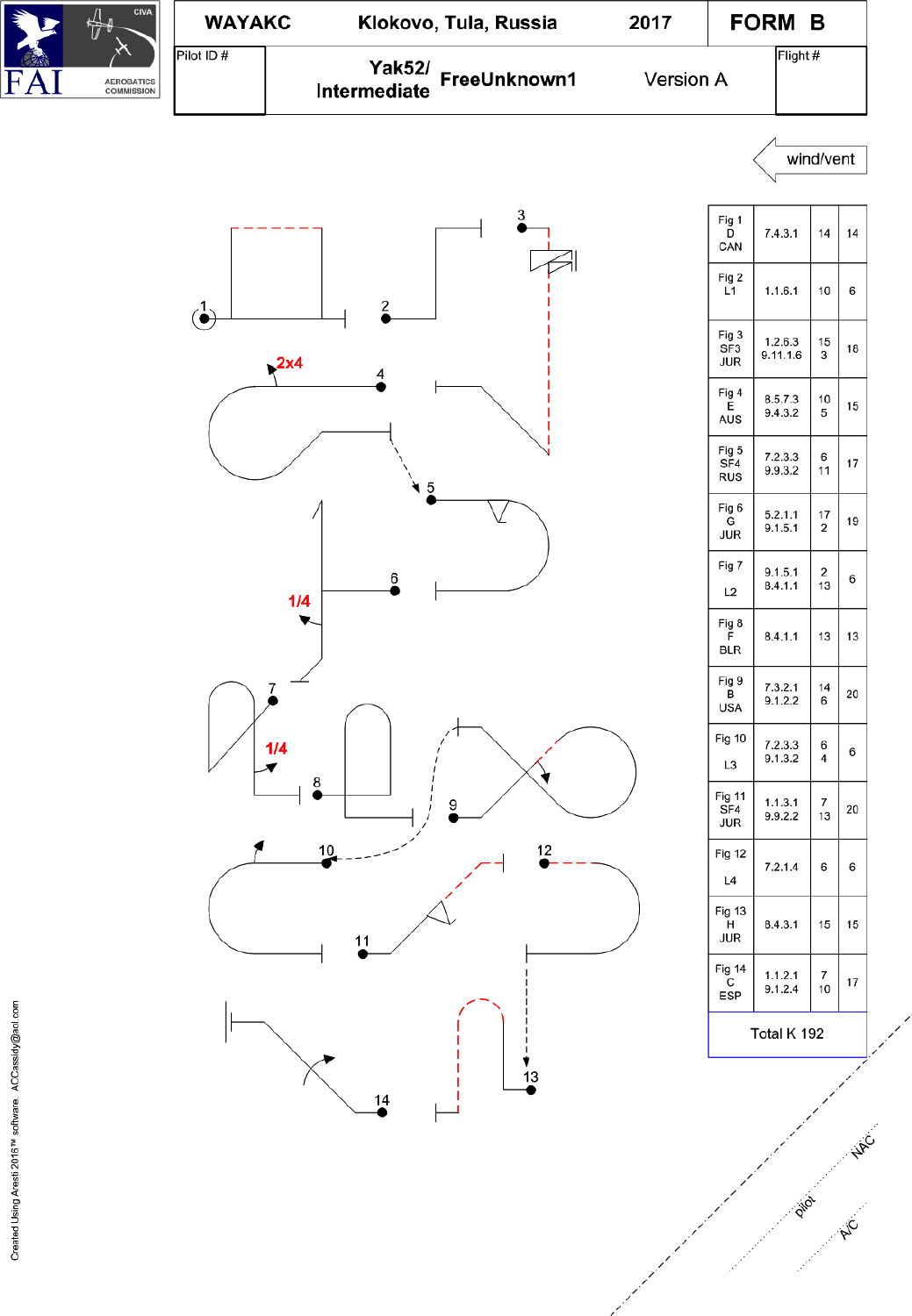

| <b>Fig 10</b><br>L3       | 7.2.3.3<br>9.1.3.2 | 6<br>4                                 | 6   |  |
|---------------------------|--------------------|----------------------------------------|-----|--|
| Fig 11<br>SF4<br>JUR      | 1.1.3.1<br>9.9.2.2 | $\begin{array}{c} 7 \\ 13 \end{array}$ | 20  |  |
| Fig 12<br>L4              | 7.2.1.4            | 6                                      | 6   |  |
| Fig 13<br>н<br>JUR        | 8.4.3.1            | 15                                     | 15  |  |
| Fig 14<br>С<br><b>ESP</b> | 1.1.2.1<br>9.1.2.4 | $\begin{array}{c} 7 \\ 10 \end{array}$ | 17  |  |
| Total K 192               |                    |                                        |     |  |
|                           |                    |                                        | NAC |  |
|                           | Pilot              |                                        | AIC |  |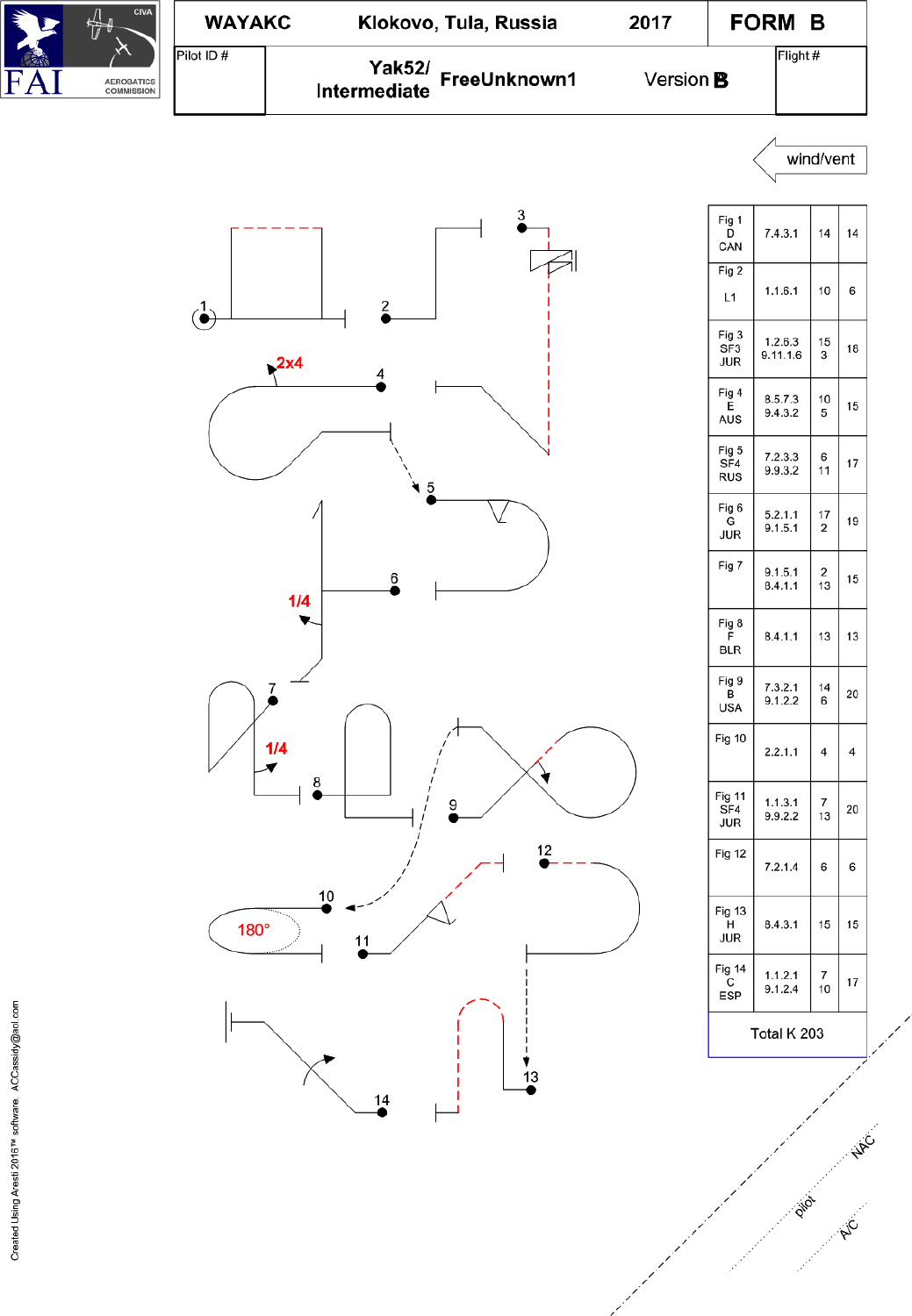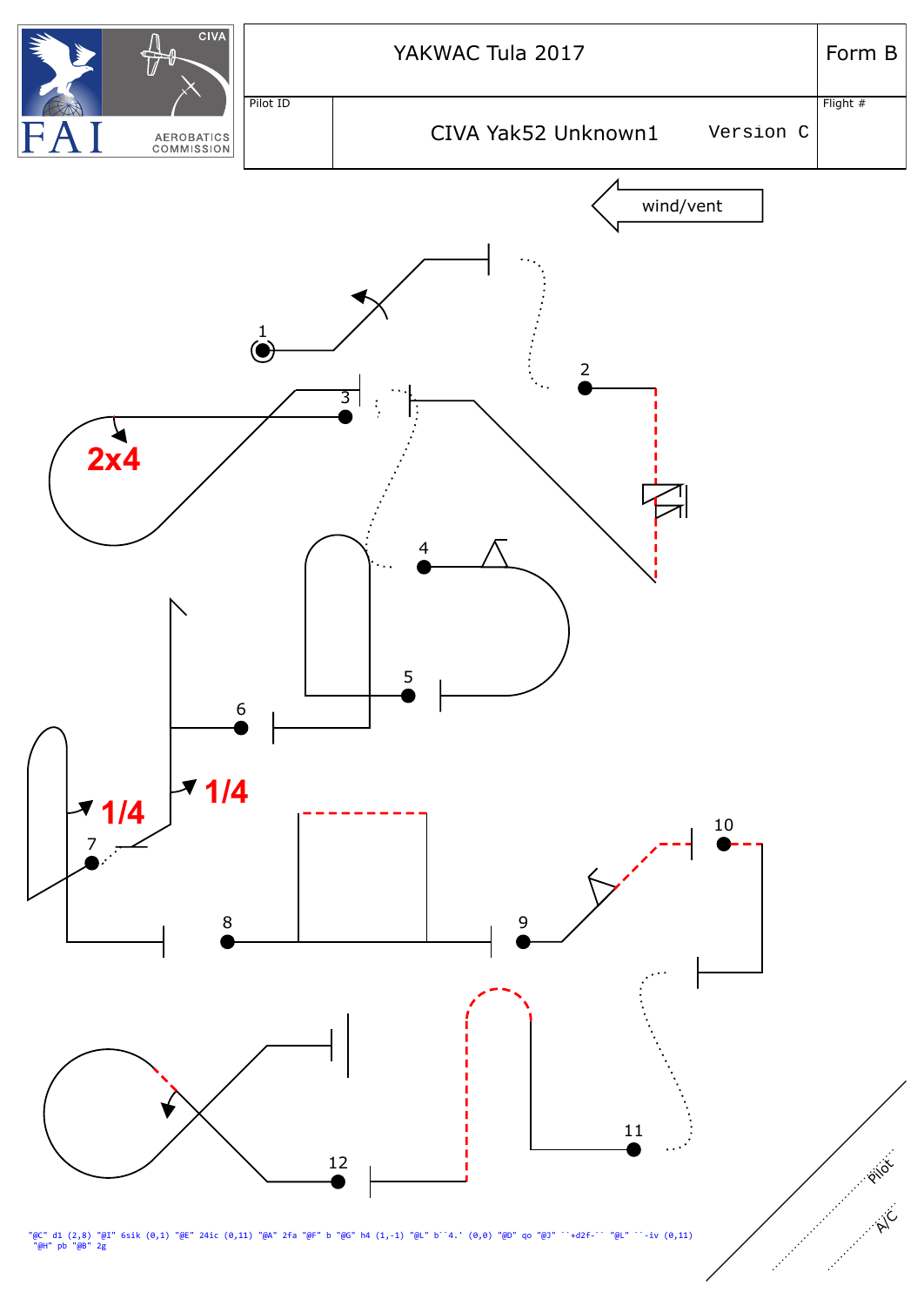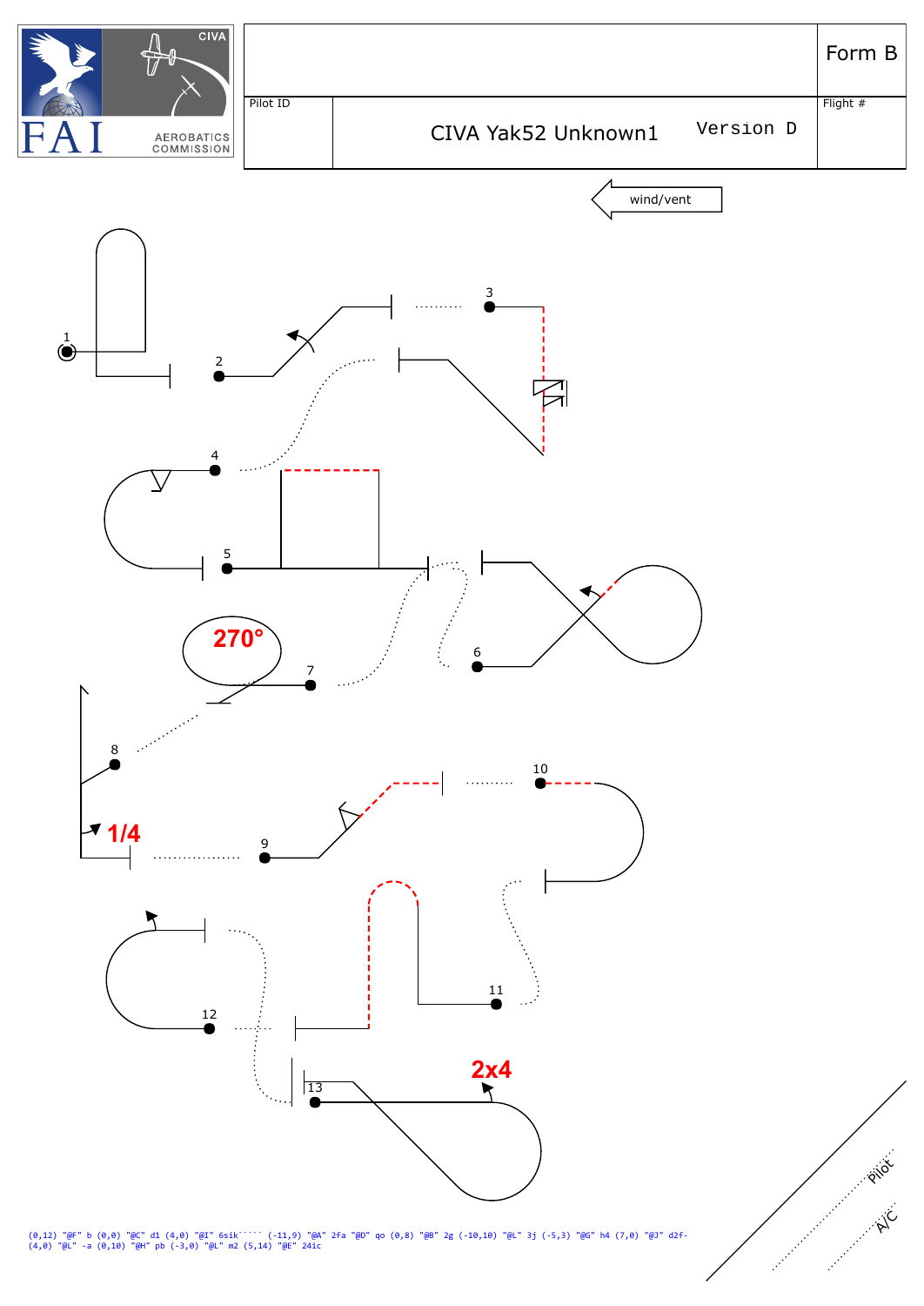

(0,12) "@F" b (0,0) "@C" d1 (4,0) "@I" 6sik````` (-11,9) "@A" 2fa "@D" qo (0,8) "@B" 2g (-10,10) "@L" 3j (-5,3) "@G" h4 (7,0) "@J" d2f- (4,0) "@L" -a (0,10) "@H" pb (-3,0) "@L" m2 (5,14) "@E" 24ic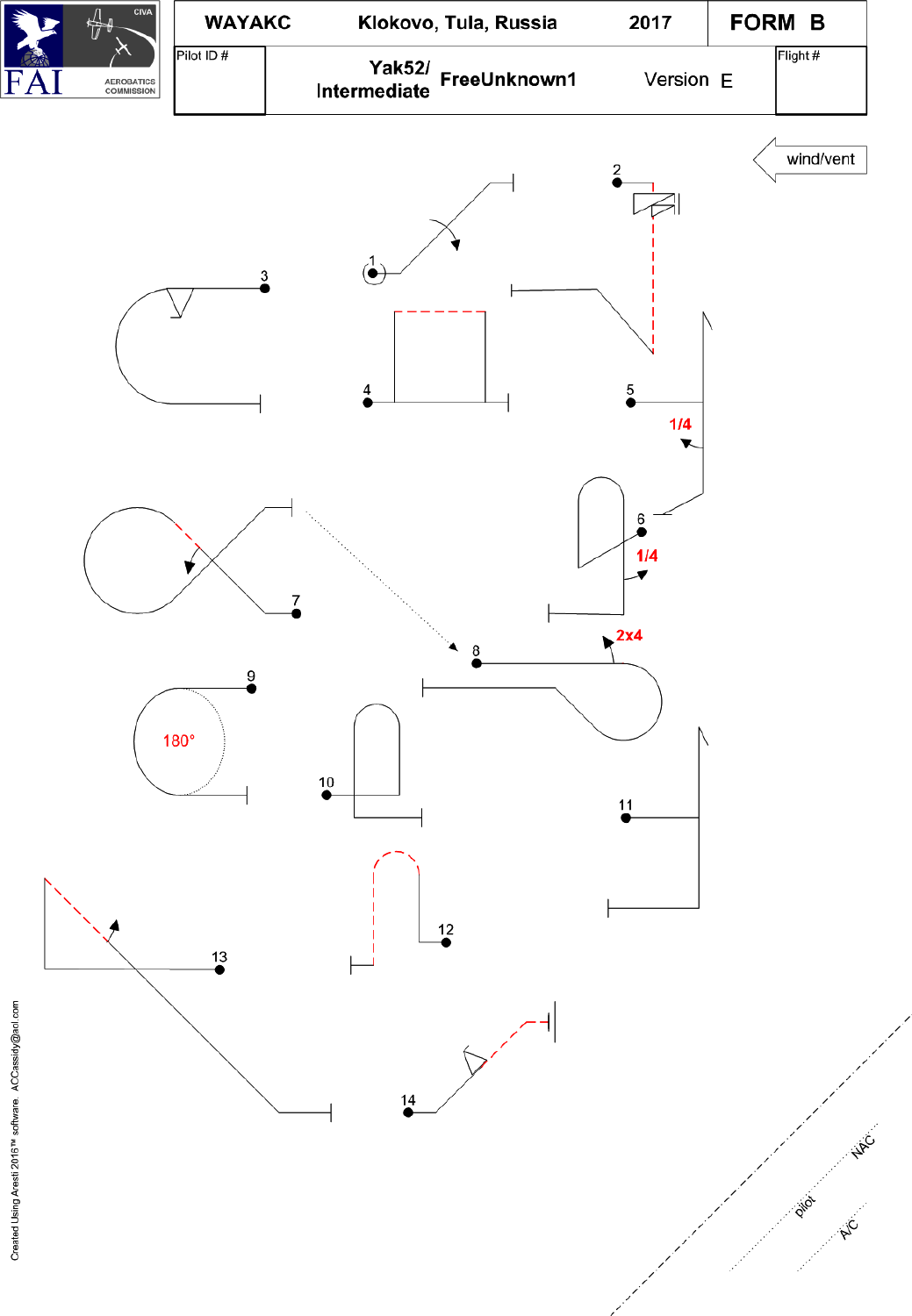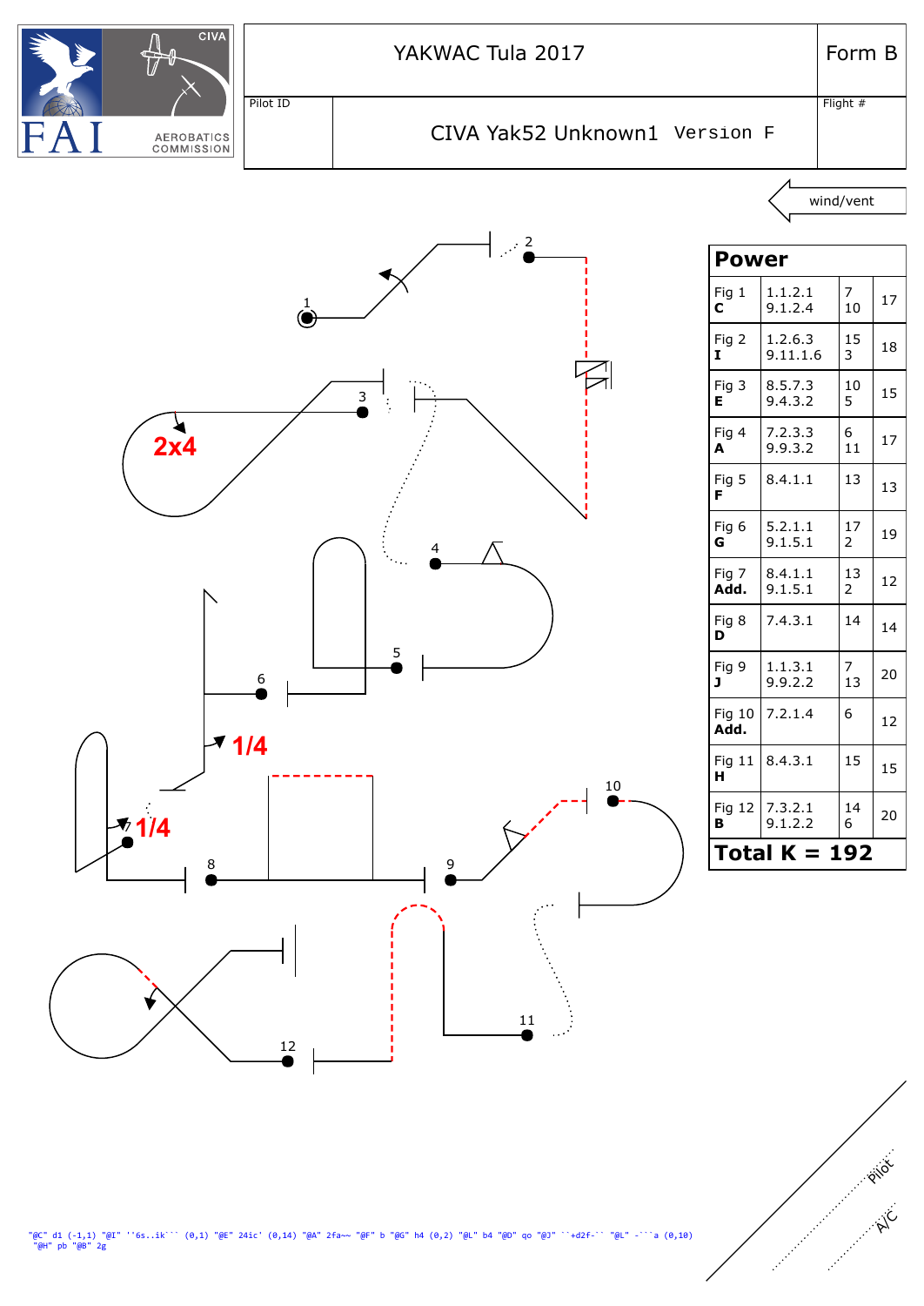

"@C" d1 (-1,1) "@I" ''6s..ik``` (0,1) "@E" 24ic' (0,14) "@A" 2fa~~ "@F" b "@G" h4 (0,2) "@L" b4 "@D" qo "@J" ``+d2f-`` "@L" -```a (0,10)<br>"@H" pb "@B" 2g

A/C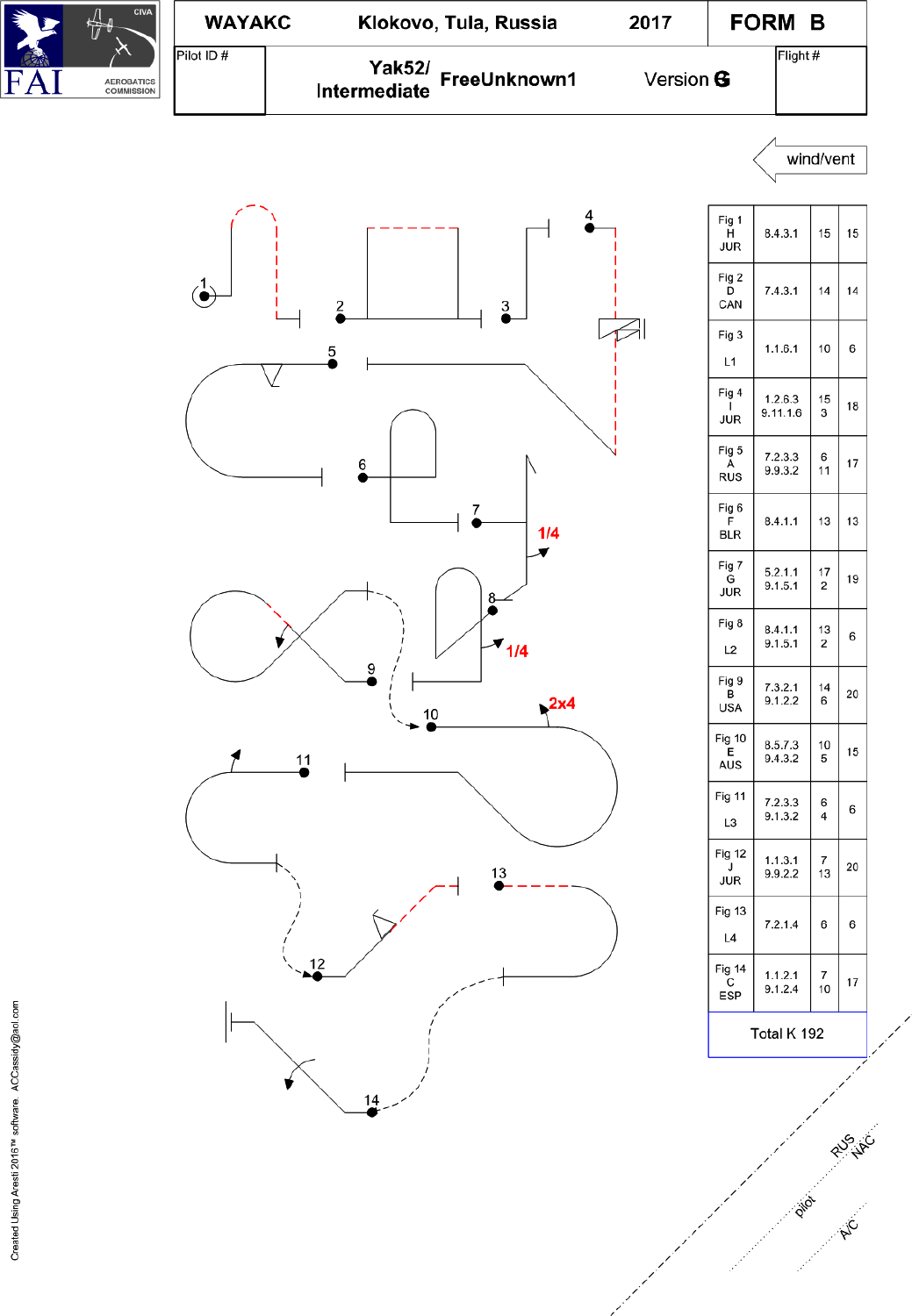



RUS VIC

AIC